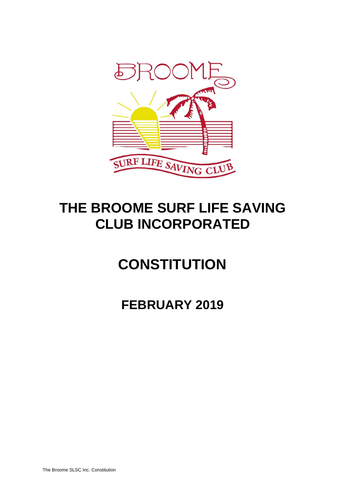

# **THE BROOME SURF LIFE SAVING CLUB INCORPORATED**

# **CONSTITUTION**

**FEBRUARY 2019**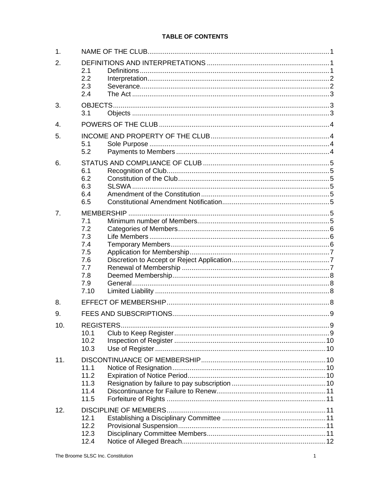# **TABLE OF CONTENTS**

| 1.             |                                                                     |  |  |
|----------------|---------------------------------------------------------------------|--|--|
| 2.             | 2.1<br>2.2<br>2.3<br>2.4                                            |  |  |
| 3.             | 3.1                                                                 |  |  |
| 4.             |                                                                     |  |  |
| 5.             | 5.1<br>5.2                                                          |  |  |
| 6.             | 6.1<br>6.2<br>6.3<br>6.4<br>6.5                                     |  |  |
| 7 <sub>1</sub> | 7.1<br>7.2<br>7.3<br>7.4<br>7.5<br>7.6<br>7.7<br>7.8<br>7.9<br>7.10 |  |  |
| 8.             |                                                                     |  |  |
| 9.             |                                                                     |  |  |
| 10.            | 10.1<br>10.2<br>10.3                                                |  |  |
| 11.            | 11.1<br>11.2<br>11.3<br>11.4<br>11.5                                |  |  |
| 12.            | 12.1<br>12.2<br>12.3<br>12.4                                        |  |  |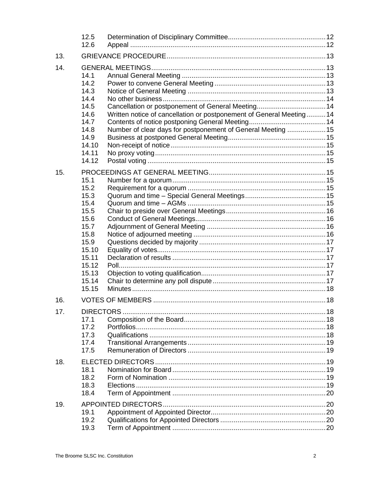|     | 12.5<br>12.6                                                                                                               |                                                                                                                                      |  |
|-----|----------------------------------------------------------------------------------------------------------------------------|--------------------------------------------------------------------------------------------------------------------------------------|--|
| 13. |                                                                                                                            |                                                                                                                                      |  |
| 14. | 14.1<br>14.2<br>14.3<br>14.4<br>14.5<br>14.6<br>14.7<br>14.8<br>14.9<br>14.10<br>14.11<br>14.12                            | Written notice of cancellation or postponement of General Meeting 14<br>Number of clear days for postponement of General Meeting  15 |  |
| 15. | 15.1<br>15.2<br>15.3<br>15.4<br>15.5<br>15.6<br>15.7<br>15.8<br>15.9<br>15.10<br>15.11<br>15.12<br>15.13<br>15.14<br>15.15 |                                                                                                                                      |  |
| 16. |                                                                                                                            |                                                                                                                                      |  |
| 17. | DIRECTORS<br>17.1<br>17.2<br>17.3<br>17.4<br>17.5                                                                          |                                                                                                                                      |  |
| 18. | 18.1<br>18.2<br>18.3<br>18.4                                                                                               |                                                                                                                                      |  |
| 19. | 19.1<br>19.2<br>19.3                                                                                                       |                                                                                                                                      |  |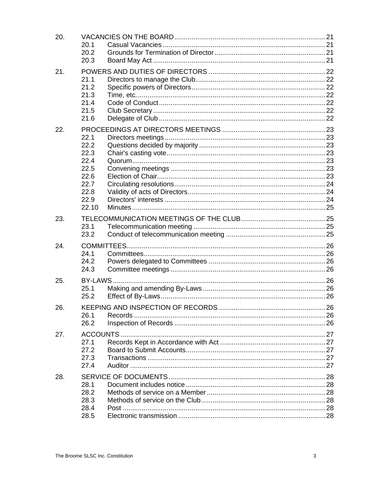| 20. | 20.1<br>20.2<br>20.3                                                          |         |     |
|-----|-------------------------------------------------------------------------------|---------|-----|
| 21. | 21.1<br>21.2<br>21.3<br>21.4<br>21.5<br>21.6                                  |         |     |
| 22. | 22.1<br>22.2<br>22.3<br>22.4<br>22.5<br>22.6<br>22.7<br>22.8<br>22.9<br>22.10 |         |     |
| 23. | 23.1<br>23.2                                                                  |         |     |
| 24. | 24.1<br>24.2<br>24.3                                                          |         |     |
| 25. | BY-LAWS.<br>25.1<br>25.2                                                      |         |     |
| 26. | 26.1<br>26.2                                                                  | Records | .26 |
| 27. | 27.1<br>27.2<br>27.3<br>27.4                                                  |         |     |
| 28. | 28.1<br>28.2<br>28.3<br>28.4<br>28.5                                          | Post    |     |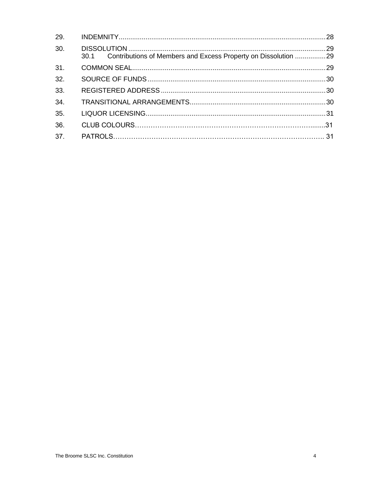| 29. |                                                                     |  |
|-----|---------------------------------------------------------------------|--|
| 30. | 30.1 Contributions of Members and Excess Property on Dissolution 29 |  |
|     |                                                                     |  |
| 31. |                                                                     |  |
| 32. |                                                                     |  |
| 33. |                                                                     |  |
| 34. |                                                                     |  |
| 35. |                                                                     |  |
| 36. |                                                                     |  |
| 37. |                                                                     |  |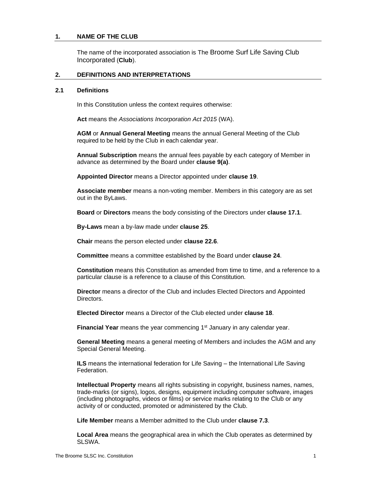#### <span id="page-5-0"></span>**1. NAME OF THE CLUB**

The name of the incorporated association is The Broome Surf Life Saving Club Incorporated (**Club**).

#### <span id="page-5-1"></span>**2. DEFINITIONS AND INTERPRETATIONS**

#### <span id="page-5-2"></span>**2.1 Definitions**

In this Constitution unless the context requires otherwise:

**Act** means the *Associations Incorporation Act 2015* (WA).

**AGM** or **Annual General Meeting** means the annual General Meeting of the Club required to be held by the Club in each calendar year.

**Annual Subscription** means the annual fees payable by each category of Member in advance as determined by the Board under **clause [9\(a\)](#page-13-3)**.

**Appointed Director** means a Director appointed under **clause [19](#page-24-1)**.

**Associate member** means a non-voting member. Members in this category are as set out in the ByLaws.

**Board** or **Directors** means the body consisting of the Directors under **clause [17.1](#page-22-3)**.

**By-Laws** mean a by-law made under **clause [25](#page-30-4)**.

**Chair** means the person elected under **clause [22.6](#page-27-6)**.

**Committee** means a committee established by the Board under **clause [24](#page-30-0)**.

**Constitution** means this Constitution as amended from time to time, and a reference to a particular clause is a reference to a clause of this Constitution.

**Director** means a director of the Club and includes Elected Directors and Appointed Directors.

**Elected Director** means a Director of the Club elected under **clause [18](#page-23-1)**.

**Financial Year** means the year commencing 1<sup>st</sup> January in any calendar year.

**General Meeting** means a general meeting of Members and includes the AGM and any Special General Meeting.

**ILS** means the international federation for Life Saving – the International Life Saving Federation.

**Intellectual Property** means all rights subsisting in copyright, business names, names, trade-marks (or signs), logos, designs, equipment including computer software, images (including photographs, videos or films) or service marks relating to the Club or any activity of or conducted, promoted or administered by the Club.

**Life Member** means a Member admitted to the Club under **clause [7.3](#page-10-3)**.

**Local Area** means the geographical area in which the Club operates as determined by SLSWA.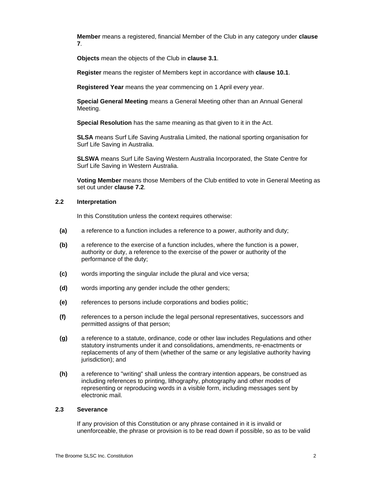**Member** means a registered, financial Member of the Club in any category under **clause [7](#page-10-0)**.

**Objects** mean the objects of the Club in **clause [3.1](#page-7-2)**.

**Register** means the register of Members kept in accordance with **clause [10.1](#page-13-2)**.

**Registered Year** means the year commencing on 1 April every year.

**Special General Meeting** means a General Meeting other than an Annual General Meeting.

**Special Resolution** has the same meaning as that given to it in the Act.

**SLSA** means Surf Life Saving Australia Limited, the national sporting organisation for Surf Life Saving in Australia.

**SLSWA** means Surf Life Saving Western Australia Incorporated, the State Centre for Surf Life Saving in Western Australia.

**Voting Member** means those Members of the Club entitled to vote in General Meeting as set out under **clause [7.2](#page-10-2)**.

#### <span id="page-6-0"></span>**2.2 Interpretation**

In this Constitution unless the context requires otherwise:

- **(a)** a reference to a function includes a reference to a power, authority and duty;
- **(b)** a reference to the exercise of a function includes, where the function is a power, authority or duty, a reference to the exercise of the power or authority of the performance of the duty;
- **(c)** words importing the singular include the plural and vice versa;
- **(d)** words importing any gender include the other genders;
- **(e)** references to persons include corporations and bodies politic;
- **(f)** references to a person include the legal personal representatives, successors and permitted assigns of that person;
- **(g)** a reference to a statute, ordinance, code or other law includes Regulations and other statutory instruments under it and consolidations, amendments, re-enactments or replacements of any of them (whether of the same or any legislative authority having jurisdiction); and
- **(h)** a reference to "writing" shall unless the contrary intention appears, be construed as including references to printing, lithography, photography and other modes of representing or reproducing words in a visible form, including messages sent by electronic mail.

## <span id="page-6-1"></span>**2.3 Severance**

If any provision of this Constitution or any phrase contained in it is invalid or unenforceable, the phrase or provision is to be read down if possible, so as to be valid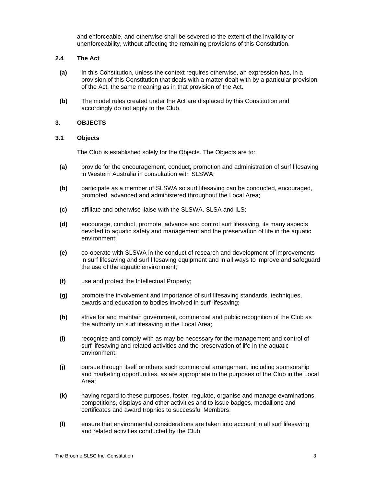and enforceable, and otherwise shall be severed to the extent of the invalidity or unenforceability, without affecting the remaining provisions of this Constitution.

#### <span id="page-7-0"></span>**2.4 The Act**

- **(a)** In this Constitution, unless the context requires otherwise, an expression has, in a provision of this Constitution that deals with a matter dealt with by a particular provision of the Act, the same meaning as in that provision of the Act.
- **(b)** The model rules created under the Act are displaced by this Constitution and accordingly do not apply to the Club.

# <span id="page-7-1"></span>**3. OBJECTS**

# <span id="page-7-2"></span>**3.1 Objects**

The Club is established solely for the Objects. The Objects are to:

- **(a)** provide for the encouragement, conduct, promotion and administration of surf lifesaving in Western Australia in consultation with SLSWA;
- **(b)** participate as a member of SLSWA so surf lifesaving can be conducted, encouraged, promoted, advanced and administered throughout the Local Area;
- **(c)** affiliate and otherwise liaise with the SLSWA, SLSA and ILS;
- **(d)** encourage, conduct, promote, advance and control surf lifesaving, its many aspects devoted to aquatic safety and management and the preservation of life in the aquatic environment;
- **(e)** co-operate with SLSWA in the conduct of research and development of improvements in surf lifesaving and surf lifesaving equipment and in all ways to improve and safeguard the use of the aquatic environment;
- **(f)** use and protect the Intellectual Property;
- **(g)** promote the involvement and importance of surf lifesaving standards, techniques, awards and education to bodies involved in surf lifesaving;
- **(h)** strive for and maintain government, commercial and public recognition of the Club as the authority on surf lifesaving in the Local Area;
- **(i)** recognise and comply with as may be necessary for the management and control of surf lifesaving and related activities and the preservation of life in the aquatic environment;
- **(j)** pursue through itself or others such commercial arrangement, including sponsorship and marketing opportunities, as are appropriate to the purposes of the Club in the Local Area;
- **(k)** having regard to these purposes, foster, regulate, organise and manage examinations, competitions, displays and other activities and to issue badges, medallions and certificates and award trophies to successful Members;
- **(l)** ensure that environmental considerations are taken into account in all surf lifesaving and related activities conducted by the Club;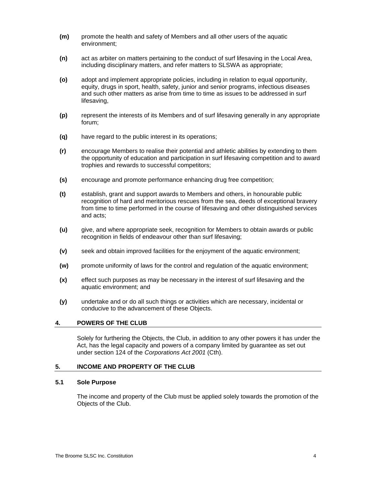- **(m)** promote the health and safety of Members and all other users of the aquatic environment;
- **(n)** act as arbiter on matters pertaining to the conduct of surf lifesaving in the Local Area, including disciplinary matters, and refer matters to SLSWA as appropriate;
- **(o)** adopt and implement appropriate policies, including in relation to equal opportunity, equity, drugs in sport, health, safety, junior and senior programs, infectious diseases and such other matters as arise from time to time as issues to be addressed in surf lifesaving,
- **(p)** represent the interests of its Members and of surf lifesaving generally in any appropriate forum;
- **(q)** have regard to the public interest in its operations;
- **(r)** encourage Members to realise their potential and athletic abilities by extending to them the opportunity of education and participation in surf lifesaving competition and to award trophies and rewards to successful competitors;
- **(s)** encourage and promote performance enhancing drug free competition;
- **(t)** establish, grant and support awards to Members and others, in honourable public recognition of hard and meritorious rescues from the sea, deeds of exceptional bravery from time to time performed in the course of lifesaving and other distinguished services and acts;
- **(u)** give, and where appropriate seek, recognition for Members to obtain awards or public recognition in fields of endeavour other than surf lifesaving;
- **(v)** seek and obtain improved facilities for the enjoyment of the aquatic environment;
- **(w)** promote uniformity of laws for the control and regulation of the aquatic environment;
- **(x)** effect such purposes as may be necessary in the interest of surf lifesaving and the aquatic environment; and
- **(y)** undertake and or do all such things or activities which are necessary, incidental or conducive to the advancement of these Objects.

## <span id="page-8-0"></span>**4. POWERS OF THE CLUB**

Solely for furthering the Objects, the Club, in addition to any other powers it has under the Act, has the legal capacity and powers of a company limited by guarantee as set out under section 124 of the *Corporations Act 2001* (Cth).

## <span id="page-8-1"></span>**5. INCOME AND PROPERTY OF THE CLUB**

## <span id="page-8-2"></span>**5.1 Sole Purpose**

The income and property of the Club must be applied solely towards the promotion of the Objects of the Club.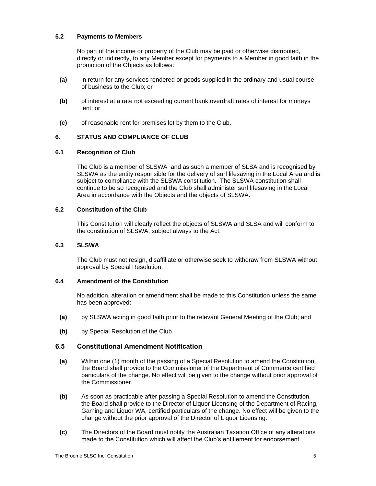## <span id="page-9-0"></span>**5.2 Payments to Members**

No part of the income or property of the Club may be paid or otherwise distributed, directly or indirectly, to any Member except for payments to a Member in good faith in the promotion of the Objects as follows:

- **(a)** in return for any services rendered or goods supplied in the ordinary and usual course of business to the Club; or
- **(b)** of interest at a rate not exceeding current bank overdraft rates of interest for moneys lent; or
- **(c)** of reasonable rent for premises let by them to the Club.

## <span id="page-9-1"></span>**6. STATUS AND COMPLIANCE OF CLUB**

## <span id="page-9-2"></span>**6.1 Recognition of Club**

The Club is a member of SLSWA and as such a member of SLSA and is recognised by SLSWA as the entity responsible for the delivery of surf lifesaving in the Local Area and is subject to compliance with the SLSWA constitution. The SLSWA constitution shall continue to be so recognised and the Club shall administer surf lifesaving in the Local Area in accordance with the Objects and the objects of SLSWA.

## <span id="page-9-3"></span>**6.2 Constitution of the Club**

This Constitution will clearly reflect the objects of SLSWA and SLSA and will conform to the constitution of SLSWA, subject always to the Act.

## <span id="page-9-4"></span>**6.3 SLSWA**

The Club must not resign, disaffiliate or otherwise seek to withdraw from SLSWA without approval by Special Resolution.

## <span id="page-9-5"></span>**6.4 Amendment of the Constitution**

No addition, alteration or amendment shall be made to this Constitution unless the same has been approved:

- **(a)** by SLSWA acting in good faith prior to the relevant General Meeting of the Club; and
- **(b)** by Special Resolution of the Club.

# <span id="page-9-6"></span>**6.5 Constitutional Amendment Notification**

- **(a)** Within one (1) month of the passing of a Special Resolution to amend the Constitution, the Board shall provide to the Commissioner of the Department of Commerce certified particulars of the change. No effect will be given to the change without prior approval of the Commissioner.
- **(b)** As soon as practicable after passing a Special Resolution to amend the Constitution, the Board shall provide to the Director of Liquor Licensing of the Department of Racing, Gaming and Liquor WA, certified particulars of the change. No effect will be given to the change without the prior approval of the Director of Liquor Licensing.
- **(c)** The Directors of the Board must notify the Australian Taxation Office of any alterations made to the Constitution which will affect the Club's entitlement for endorsement.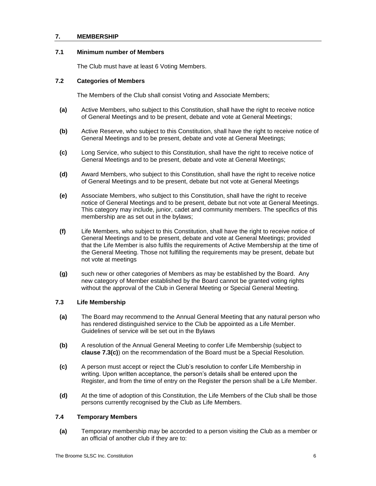## <span id="page-10-0"></span>**7. MEMBERSHIP**

## <span id="page-10-1"></span>**7.1 Minimum number of Members**

The Club must have at least 6 Voting Members.

## <span id="page-10-2"></span>**7.2 Categories of Members**

The Members of the Club shall consist Voting and Associate Members;

- **(a)** Active Members, who subject to this Constitution, shall have the right to receive notice of General Meetings and to be present, debate and vote at General Meetings;
- **(b)** Active Reserve, who subject to this Constitution, shall have the right to receive notice of General Meetings and to be present, debate and vote at General Meetings;
- **(c)** Long Service, who subject to this Constitution, shall have the right to receive notice of General Meetings and to be present, debate and vote at General Meetings;
- **(d)** Award Members, who subject to this Constitution, shall have the right to receive notice of General Meetings and to be present, debate but not vote at General Meetings
- **(e)** Associate Members, who subject to this Constitution, shall have the right to receive notice of General Meetings and to be present, debate but not vote at General Meetings. This category may include, junior, cadet and community members. The specifics of this membership are as set out in the bylaws;
- **(f)** Life Members, who subject to this Constitution, shall have the right to receive notice of General Meetings and to be present, debate and vote at General Meetings; provided that the Life Member is also fulfils the requirements of Active Membership at the time of the General Meeting. Those not fulfilling the requirements may be present, debate but not vote at meetings
- **(g)** such new or other categories of Members as may be established by the Board. Any new category of Member established by the Board cannot be granted voting rights without the approval of the Club in General Meeting or Special General Meeting.

## <span id="page-10-3"></span>**7.3 Life Membership**

- **(a)** The Board may recommend to the Annual General Meeting that any natural person who has rendered distinguished service to the Club be appointed as a Life Member. Guidelines of service will be set out in the Bylaws
- **(b)** A resolution of the Annual General Meeting to confer Life Membership (subject to **clause [7.3\(c\)](#page-10-5)**) on the recommendation of the Board must be a Special Resolution.
- <span id="page-10-5"></span>**(c)** A person must accept or reject the Club's resolution to confer Life Membership in writing. Upon written acceptance, the person's details shall be entered upon the Register, and from the time of entry on the Register the person shall be a Life Member.
- **(d)** At the time of adoption of this Constitution, the Life Members of the Club shall be those persons currently recognised by the Club as Life Members.

#### <span id="page-10-4"></span>**7.4 Temporary Members**

**(a)** Temporary membership may be accorded to a person visiting the Club as a member or an official of another club if they are to: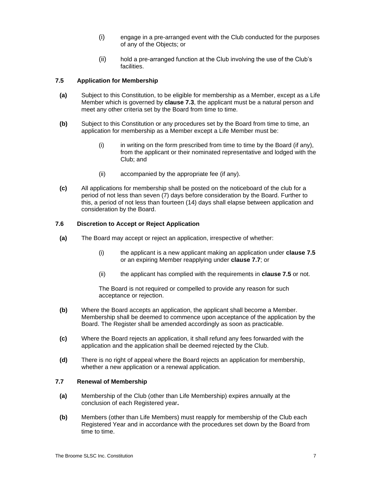- (i) engage in a pre-arranged event with the Club conducted for the purposes of any of the Objects; or
- (ii) hold a pre-arranged function at the Club involving the use of the Club's facilities.

## <span id="page-11-0"></span>**7.5 Application for Membership**

- **(a)** Subject to this Constitution, to be eligible for membership as a Member, except as a Life Member which is governed by **clause [7.3](#page-10-3)**, the applicant must be a natural person and meet any other criteria set by the Board from time to time.
- **(b)** Subject to this Constitution or any procedures set by the Board from time to time, an application for membership as a Member except a Life Member must be:
	- (i) in writing on the form prescribed from time to time by the Board (if any), from the applicant or their nominated representative and lodged with the Club; and
	- (ii) accompanied by the appropriate fee (if any).
- **(c)** All applications for membership shall be posted on the noticeboard of the club for a period of not less than seven (7) days before consideration by the Board. Further to this, a period of not less than fourteen (14) days shall elapse between application and consideration by the Board.

## <span id="page-11-1"></span>**7.6 Discretion to Accept or Reject Application**

- **(a)** The Board may accept or reject an application, irrespective of whether:
	- (i) the applicant is a new applicant making an application under **clause 7.5** or an expiring Member reapplying under **clause [7.7](#page-11-2)**; or
	- (ii) the applicant has complied with the requirements in **clause 7.5** or not.

The Board is not required or compelled to provide any reason for such acceptance or rejection.

- **(b)** Where the Board accepts an application, the applicant shall become a Member. Membership shall be deemed to commence upon acceptance of the application by the Board. The Register shall be amended accordingly as soon as practicable.
- **(c)** Where the Board rejects an application, it shall refund any fees forwarded with the application and the application shall be deemed rejected by the Club.
- **(d)** There is no right of appeal where the Board rejects an application for membership, whether a new application or a renewal application.

## <span id="page-11-2"></span>**7.7 Renewal of Membership**

- **(a)** Membership of the Club (other than Life Membership) expires annually at the conclusion of each Registered year**.**
- **(b)** Members (other than Life Members) must reapply for membership of the Club each Registered Year and in accordance with the procedures set down by the Board from time to time.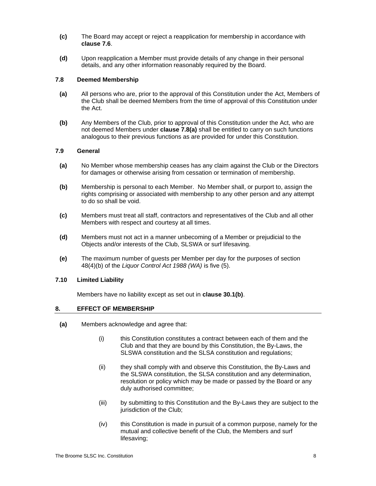- **(c)** The Board may accept or reject a reapplication for membership in accordance with **clause [7.6](#page-11-1)**.
- **(d)** Upon reapplication a Member must provide details of any change in their personal details, and any other information reasonably required by the Board.

#### <span id="page-12-0"></span>**7.8 Deemed Membership**

- <span id="page-12-4"></span>**(a)** All persons who are, prior to the approval of this Constitution under the Act, Members of the Club shall be deemed Members from the time of approval of this Constitution under the Act.
- **(b)** Any Members of the Club, prior to approval of this Constitution under the Act, who are not deemed Members under **clause [7.8\(a\)](#page-12-4)** shall be entitled to carry on such functions analogous to their previous functions as are provided for under this Constitution.

#### <span id="page-12-1"></span>**7.9 General**

- **(a)** No Member whose membership ceases has any claim against the Club or the Directors for damages or otherwise arising from cessation or termination of membership.
- **(b)** Membership is personal to each Member. No Member shall, or purport to, assign the rights comprising or associated with membership to any other person and any attempt to do so shall be void.
- **(c)** Members must treat all staff, contractors and representatives of the Club and all other Members with respect and courtesy at all times.
- **(d)** Members must not act in a manner unbecoming of a Member or prejudicial to the Objects and/or interests of the Club, SLSWA or surf lifesaving.
- **(e)** The maximum number of guests per Member per day for the purposes of section 48(4)(b) of the *Liquor Control Act 1988 (WA)* is five (5).

#### <span id="page-12-2"></span>**7.10 Limited Liability**

Members have no liability except as set out in **clause 30.1(b)**.

#### <span id="page-12-3"></span>**8. EFFECT OF MEMBERSHIP**

- **(a)** Members acknowledge and agree that:
	- (i) this Constitution constitutes a contract between each of them and the Club and that they are bound by this Constitution, the By-Laws, the SLSWA constitution and the SLSA constitution and regulations;
	- (ii) they shall comply with and observe this Constitution, the By-Laws and the SLSWA constitution, the SLSA constitution and any determination, resolution or policy which may be made or passed by the Board or any duly authorised committee;
	- (iii) by submitting to this Constitution and the By-Laws they are subject to the jurisdiction of the Club:
	- (iv) this Constitution is made in pursuit of a common purpose, namely for the mutual and collective benefit of the Club, the Members and surf lifesaving;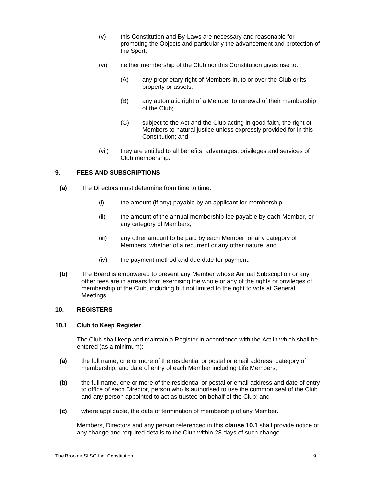- (v) this Constitution and By-Laws are necessary and reasonable for promoting the Objects and particularly the advancement and protection of the Sport;
- (vi) neither membership of the Club nor this Constitution gives rise to:
	- (A) any proprietary right of Members in, to or over the Club or its property or assets;
	- (B) any automatic right of a Member to renewal of their membership of the Club;
	- (C) subject to the Act and the Club acting in good faith, the right of Members to natural justice unless expressly provided for in this Constitution; and
- (vii) they are entitled to all benefits, advantages, privileges and services of Club membership.

## <span id="page-13-0"></span>**9. FEES AND SUBSCRIPTIONS**

- <span id="page-13-3"></span>**(a)** The Directors must determine from time to time:
	- (i) the amount (if any) payable by an applicant for membership;
	- (ii) the amount of the annual membership fee payable by each Member, or any category of Members;
	- (iii) any other amount to be paid by each Member, or any category of Members, whether of a recurrent or any other nature; and
	- (iv) the payment method and due date for payment.
- <span id="page-13-4"></span>**(b)** The Board is empowered to prevent any Member whose Annual Subscription or any other fees are in arrears from exercising the whole or any of the rights or privileges of membership of the Club, including but not limited to the right to vote at General Meetings.

## <span id="page-13-1"></span>**10. REGISTERS**

#### <span id="page-13-2"></span>**10.1 Club to Keep Register**

The Club shall keep and maintain a Register in accordance with the Act in which shall be entered (as a minimum):

- **(a)** the full name, one or more of the residential or postal or email address, category of membership, and date of entry of each Member including Life Members;
- **(b)** the full name, one or more of the residential or postal or email address and date of entry to office of each Director, person who is authorised to use the common seal of the Club and any person appointed to act as trustee on behalf of the Club; and
- **(c)** where applicable, the date of termination of membership of any Member.

Members, Directors and any person referenced in this **clause [10.1](#page-13-2)** shall provide notice of any change and required details to the Club within 28 days of such change.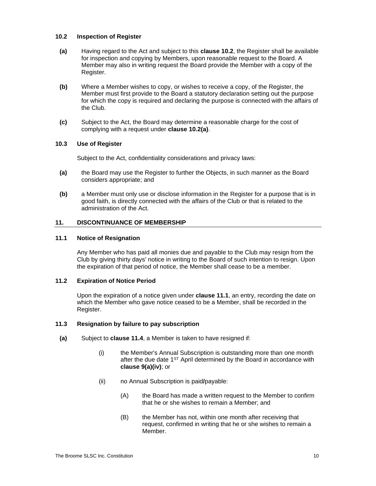#### <span id="page-14-0"></span>**10.2 Inspection of Register**

- <span id="page-14-6"></span>**(a)** Having regard to the Act and subject to this **clause [10.2](#page-14-0)**, the Register shall be available for inspection and copying by Members, upon reasonable request to the Board. A Member may also in writing request the Board provide the Member with a copy of the Register.
- **(b)** Where a Member wishes to copy, or wishes to receive a copy, of the Register, the Member must first provide to the Board a statutory declaration setting out the purpose for which the copy is required and declaring the purpose is connected with the affairs of the Club.
- **(c)** Subject to the Act, the Board may determine a reasonable charge for the cost of complying with a request under **clause [10.2\(a\)](#page-14-6)**.

## <span id="page-14-1"></span>**10.3 Use of Register**

Subject to the Act, confidentiality considerations and privacy laws:

- **(a)** the Board may use the Register to further the Objects, in such manner as the Board considers appropriate; and
- **(b)** a Member must only use or disclose information in the Register for a purpose that is in good faith, is directly connected with the affairs of the Club or that is related to the administration of the Act.

## <span id="page-14-2"></span>**11. DISCONTINUANCE OF MEMBERSHIP**

#### <span id="page-14-3"></span>**11.1 Notice of Resignation**

Any Member who has paid all monies due and payable to the Club may resign from the Club by giving thirty days' notice in writing to the Board of such intention to resign. Upon the expiration of that period of notice, the Member shall cease to be a member.

## <span id="page-14-4"></span>**11.2 Expiration of Notice Period**

Upon the expiration of a notice given under **clause [11.1](#page-14-3)**, an entry, recording the date on which the Member who gave notice ceased to be a Member, shall be recorded in the Register.

## <span id="page-14-5"></span>**11.3 Resignation by failure to pay subscription**

- **(a)** Subject to **clause [11.4](#page-15-0)**, a Member is taken to have resigned if:
	- (i) the Member's Annual Subscription is outstanding more than one month after the due date 1<sup>st</sup> April determined by the Board in accordance with **clause [9\(a\)\(iv\)](#page-13-4)**; or
	- (ii) no Annual Subscription is paid**/**payable:
		- (A) the Board has made a written request to the Member to confirm that he or she wishes to remain a Member; and
		- (B) the Member has not, within one month after receiving that request, confirmed in writing that he or she wishes to remain a Member.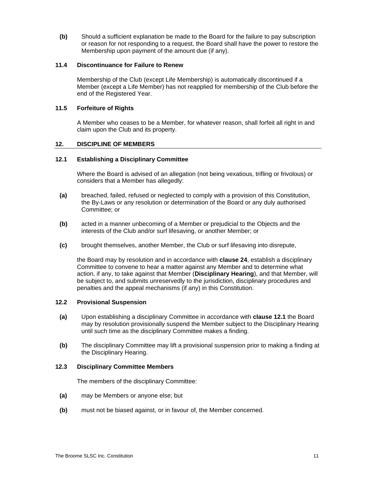**(b)** Should a sufficient explanation be made to the Board for the failure to pay subscription or reason for not responding to a request, the Board shall have the power to restore the Membership upon payment of the amount due (if any).

#### <span id="page-15-0"></span>**11.4 Discontinuance for Failure to Renew**

Membership of the Club (except Life Membership) is automatically discontinued if a Member (except a Life Member) has not reapplied for membership of the Club before the end of the Registered Year.

## <span id="page-15-1"></span>**11.5 Forfeiture of Rights**

A Member who ceases to be a Member, for whatever reason, shall forfeit all right in and claim upon the Club and its property.

#### <span id="page-15-2"></span>**12. DISCIPLINE OF MEMBERS**

## <span id="page-15-3"></span>**12.1 Establishing a Disciplinary Committee**

Where the Board is advised of an allegation (not being vexatious, trifling or frivolous) or considers that a Member has allegedly:

- **(a)** breached, failed, refused or neglected to comply with a provision of this Constitution, the By-Laws or any resolution or determination of the Board or any duly authorised Committee; or
- **(b)** acted in a manner unbecoming of a Member or prejudicial to the Objects and the interests of the Club and/or surf lifesaving, or another Member; or
- **(c)** brought themselves, another Member, the Club or surf lifesaving into disrepute,

the Board may by resolution and in accordance with **clause [24](#page-30-0)**, establish a disciplinary Committee to convene to hear a matter against any Member and to determine what action, if any, to take against that Member (**Disciplinary Hearing**), and that Member, will be subject to, and submits unreservedly to the jurisdiction, disciplinary procedures and penalties and the appeal mechanisms (if any) in this Constitution.

#### <span id="page-15-4"></span>**12.2 Provisional Suspension**

- **(a)** Upon establishing a disciplinary Committee in accordance with **clause [12.1](#page-15-3)** the Board may by resolution provisionally suspend the Member subject to the Disciplinary Hearing until such time as the disciplinary Committee makes a finding.
- **(b)** The disciplinary Committee may lift a provisional suspension prior to making a finding at the Disciplinary Hearing.

#### <span id="page-15-5"></span>**12.3 Disciplinary Committee Members**

The members of the disciplinary Committee:

- **(a)** may be Members or anyone else; but
- **(b)** must not be biased against, or in favour of, the Member concerned.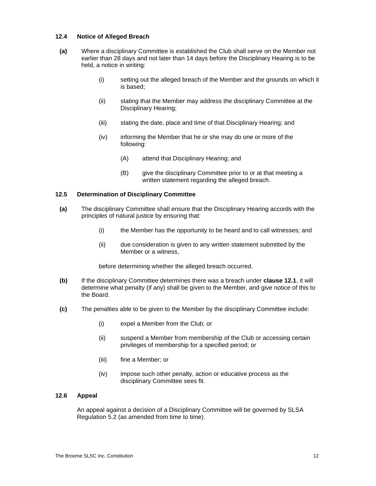#### <span id="page-16-0"></span>**12.4 Notice of Alleged Breach**

- **(a)** Where a disciplinary Committee is established the Club shall serve on the Member not earlier than 28 days and not later than 14 days before the Disciplinary Hearing is to be held, a notice in writing:
	- (i) setting out the alleged breach of the Member and the grounds on which it is based;
	- (ii) stating that the Member may address the disciplinary Committee at the Disciplinary Hearing;
	- (iii) stating the date, place and time of that Disciplinary Hearing; and
	- (iv) informing the Member that he or she may do one or more of the following:
		- (A) attend that Disciplinary Hearing; and
		- (B) give the disciplinary Committee prior to or at that meeting a written statement regarding the alleged breach.

#### <span id="page-16-1"></span>**12.5 Determination of Disciplinary Committee**

- **(a)** The disciplinary Committee shall ensure that the Disciplinary Hearing accords with the principles of natural justice by ensuring that:
	- (i) the Member has the opportunity to be heard and to call witnesses; and
	- (ii) due consideration is given to any written statement submitted by the Member or a witness,

before determining whether the alleged breach occurred.

- **(b)** If the disciplinary Committee determines there was a breach under **clause [12.1](#page-15-3)**, it will determine what penalty (if any) shall be given to the Member, and give notice of this to the Board.
- **(c)** The penalties able to be given to the Member by the disciplinary Committee include:
	- (i) expel a Member from the Club; or
	- (ii) suspend a Member from membership of the Club or accessing certain privileges of membership for a specified period; or
	- (iii) fine a Member; or
	- (iv) impose such other penalty, action or educative process as the disciplinary Committee sees fit.

## <span id="page-16-2"></span>**12.6 Appeal**

An appeal against a decision of a Disciplinary Committee will be governed by SLSA Regulation 5.2 (as amended from time to time).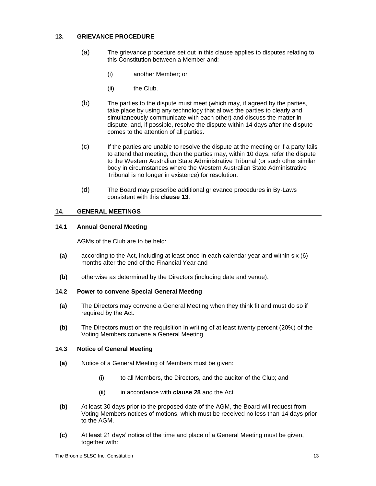#### <span id="page-17-0"></span>**13. GRIEVANCE PROCEDURE**

- (a) The grievance procedure set out in this clause applies to disputes relating to this Constitution between a Member and:
	- (i) another Member; or
	- (ii) the Club.
- (b) The parties to the dispute must meet (which may, if agreed by the parties, take place by using any technology that allows the parties to clearly and simultaneously communicate with each other) and discuss the matter in dispute, and, if possible, resolve the dispute within 14 days after the dispute comes to the attention of all parties.
- (c) If the parties are unable to resolve the dispute at the meeting or if a party fails to attend that meeting, then the parties may, within 10 days, refer the dispute to the Western Australian State Administrative Tribunal (or such other similar body in circumstances where the Western Australian State Administrative Tribunal is no longer in existence) for resolution.
- (d) The Board may prescribe additional grievance procedures in By-Laws consistent with this **clause [13](#page-17-0)**.

## <span id="page-17-1"></span>**14. GENERAL MEETINGS**

## <span id="page-17-2"></span>**14.1 Annual General Meeting**

AGMs of the Club are to be held:

- **(a)** according to the Act, including at least once in each calendar year and within six (6) months after the end of the Financial Year and
- **(b)** otherwise as determined by the Directors (including date and venue).

# <span id="page-17-3"></span>**14.2 Power to convene Special General Meeting**

- **(a)** The Directors may convene a General Meeting when they think fit and must do so if required by the Act.
- **(b)** The Directors must on the requisition in writing of at least twenty percent (20%) of the Voting Members convene a General Meeting.

# <span id="page-17-4"></span>**14.3 Notice of General Meeting**

- **(a)** Notice of a General Meeting of Members must be given:
	- (i) to all Members, the Directors, and the auditor of the Club; and
	- (ii) in accordance with **clause [28](#page-32-1)** and the Act.
- **(b)** At least 30 days prior to the proposed date of the AGM, the Board will request from Voting Members notices of motions, which must be received no less than 14 days prior to the AGM.
- **(c)** At least 21 days' notice of the time and place of a General Meeting must be given, together with: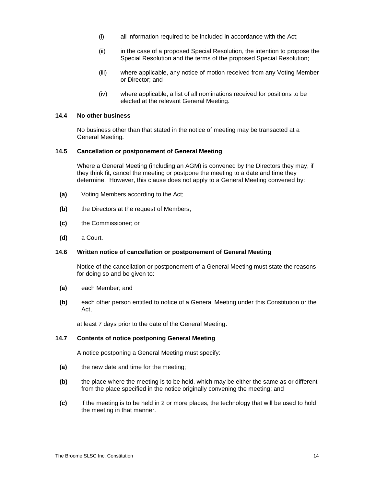- (i) all information required to be included in accordance with the Act;
- (ii) in the case of a proposed Special Resolution, the intention to propose the Special Resolution and the terms of the proposed Special Resolution;
- (iii) where applicable, any notice of motion received from any Voting Member or Director; and
- (iv) where applicable, a list of all nominations received for positions to be elected at the relevant General Meeting.

## <span id="page-18-0"></span>**14.4 No other business**

No business other than that stated in the notice of meeting may be transacted at a General Meeting.

## <span id="page-18-1"></span>**14.5 Cancellation or postponement of General Meeting**

Where a General Meeting (including an AGM) is convened by the Directors they may, if they think fit, cancel the meeting or postpone the meeting to a date and time they determine. However, this clause does not apply to a General Meeting convened by:

- **(a)** Voting Members according to the Act;
- **(b)** the Directors at the request of Members;
- **(c)** the Commissioner; or
- **(d)** a Court.

#### <span id="page-18-2"></span>**14.6 Written notice of cancellation or postponement of General Meeting**

Notice of the cancellation or postponement of a General Meeting must state the reasons for doing so and be given to:

- **(a)** each Member; and
- **(b)** each other person entitled to notice of a General Meeting under this Constitution or the Act,

at least 7 days prior to the date of the General Meeting.

#### <span id="page-18-3"></span>**14.7 Contents of notice postponing General Meeting**

A notice postponing a General Meeting must specify:

- **(a)** the new date and time for the meeting;
- **(b)** the place where the meeting is to be held, which may be either the same as or different from the place specified in the notice originally convening the meeting; and
- **(c)** if the meeting is to be held in 2 or more places, the technology that will be used to hold the meeting in that manner.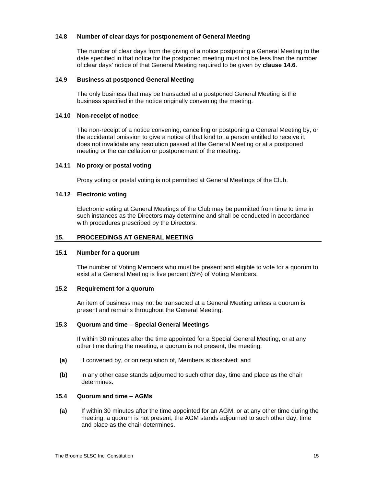#### <span id="page-19-0"></span>**14.8 Number of clear days for postponement of General Meeting**

The number of clear days from the giving of a notice postponing a General Meeting to the date specified in that notice for the postponed meeting must not be less than the number of clear days' notice of that General Meeting required to be given by **clause [14.6](#page-18-2)**.

#### <span id="page-19-1"></span>**14.9 Business at postponed General Meeting**

The only business that may be transacted at a postponed General Meeting is the business specified in the notice originally convening the meeting.

#### <span id="page-19-2"></span>**14.10 Non-receipt of notice**

The non-receipt of a notice convening, cancelling or postponing a General Meeting by, or the accidental omission to give a notice of that kind to, a person entitled to receive it, does not invalidate any resolution passed at the General Meeting or at a postponed meeting or the cancellation or postponement of the meeting.

#### <span id="page-19-3"></span>**14.11 No proxy or postal voting**

Proxy voting or postal voting is not permitted at General Meetings of the Club.

#### <span id="page-19-4"></span>**14.12 Electronic voting**

Electronic voting at General Meetings of the Club may be permitted from time to time in such instances as the Directors may determine and shall be conducted in accordance with procedures prescribed by the Directors.

#### <span id="page-19-5"></span>**15. PROCEEDINGS AT GENERAL MEETING**

#### <span id="page-19-6"></span>**15.1 Number for a quorum**

The number of Voting Members who must be present and eligible to vote for a quorum to exist at a General Meeting is five percent (5%) of Voting Members.

## <span id="page-19-7"></span>**15.2 Requirement for a quorum**

An item of business may not be transacted at a General Meeting unless a quorum is present and remains throughout the General Meeting.

## <span id="page-19-8"></span>**15.3 Quorum and time – Special General Meetings**

If within 30 minutes after the time appointed for a Special General Meeting, or at any other time during the meeting, a quorum is not present, the meeting:

- **(a)** if convened by, or on requisition of, Members is dissolved; and
- **(b)** in any other case stands adjourned to such other day, time and place as the chair determines.

## <span id="page-19-9"></span>**15.4 Quorum and time – AGMs**

<span id="page-19-10"></span>**(a)** If within 30 minutes after the time appointed for an AGM, or at any other time during the meeting, a quorum is not present, the AGM stands adjourned to such other day, time and place as the chair determines.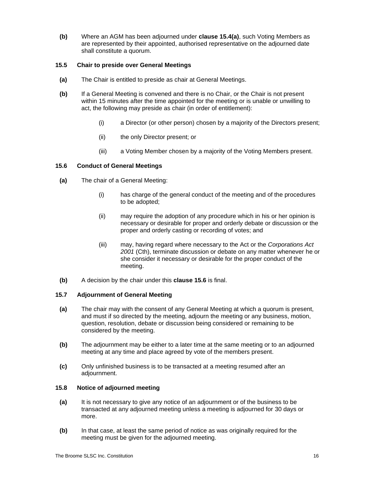**(b)** Where an AGM has been adjourned under **clause [15.4\(a\)](#page-19-10)**, such Voting Members as are represented by their appointed, authorised representative on the adjourned date shall constitute a quorum.

## <span id="page-20-0"></span>**15.5 Chair to preside over General Meetings**

- **(a)** The Chair is entitled to preside as chair at General Meetings.
- **(b)** If a General Meeting is convened and there is no Chair, or the Chair is not present within 15 minutes after the time appointed for the meeting or is unable or unwilling to act, the following may preside as chair (in order of entitlement):
	- (i) a Director (or other person) chosen by a majority of the Directors present;
	- (ii) the only Director present; or
	- (iii) a Voting Member chosen by a majority of the Voting Members present.

## <span id="page-20-1"></span>**15.6 Conduct of General Meetings**

- **(a)** The chair of a General Meeting:
	- (i) has charge of the general conduct of the meeting and of the procedures to be adopted;
	- (ii) may require the adoption of any procedure which in his or her opinion is necessary or desirable for proper and orderly debate or discussion or the proper and orderly casting or recording of votes; and
	- (iii) may, having regard where necessary to the Act or the *Corporations Act 2001* (Cth), terminate discussion or debate on any matter whenever he or she consider it necessary or desirable for the proper conduct of the meeting.
- **(b)** A decision by the chair under this **clause [15.6](#page-20-1)** is final.

# <span id="page-20-2"></span>**15.7 Adjournment of General Meeting**

- **(a)** The chair may with the consent of any General Meeting at which a quorum is present, and must if so directed by the meeting, adjourn the meeting or any business, motion, question, resolution, debate or discussion being considered or remaining to be considered by the meeting.
- **(b)** The adjournment may be either to a later time at the same meeting or to an adjourned meeting at any time and place agreed by vote of the members present.
- **(c)** Only unfinished business is to be transacted at a meeting resumed after an adjournment.

## <span id="page-20-3"></span>**15.8 Notice of adjourned meeting**

- **(a)** It is not necessary to give any notice of an adjournment or of the business to be transacted at any adjourned meeting unless a meeting is adjourned for 30 days or more.
- **(b)** In that case, at least the same period of notice as was originally required for the meeting must be given for the adjourned meeting.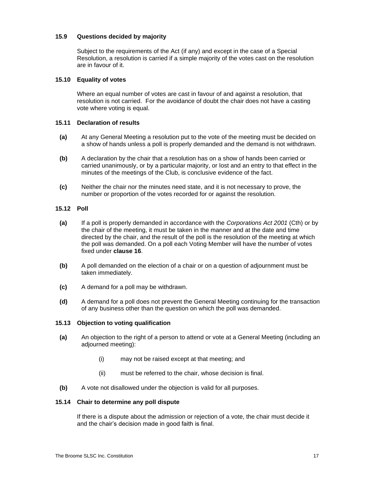## <span id="page-21-0"></span>**15.9 Questions decided by majority**

Subject to the requirements of the Act (if any) and except in the case of a Special Resolution, a resolution is carried if a simple majority of the votes cast on the resolution are in favour of it.

#### <span id="page-21-1"></span>**15.10 Equality of votes**

Where an equal number of votes are cast in favour of and against a resolution, that resolution is not carried. For the avoidance of doubt the chair does not have a casting vote where voting is equal.

## <span id="page-21-2"></span>**15.11 Declaration of results**

- **(a)** At any General Meeting a resolution put to the vote of the meeting must be decided on a show of hands unless a poll is properly demanded and the demand is not withdrawn.
- **(b)** A declaration by the chair that a resolution has on a show of hands been carried or carried unanimously, or by a particular majority, or lost and an entry to that effect in the minutes of the meetings of the Club, is conclusive evidence of the fact.
- **(c)** Neither the chair nor the minutes need state, and it is not necessary to prove, the number or proportion of the votes recorded for or against the resolution.

#### <span id="page-21-3"></span>**15.12 Poll**

- **(a)** If a poll is properly demanded in accordance with the *Corporations Act 2001* (Cth) or by the chair of the meeting, it must be taken in the manner and at the date and time directed by the chair, and the result of the poll is the resolution of the meeting at which the poll was demanded. On a poll each Voting Member will have the number of votes fixed under **clause [16](#page-22-1)**.
- **(b)** A poll demanded on the election of a chair or on a question of adjournment must be taken immediately.
- **(c)** A demand for a poll may be withdrawn.
- **(d)** A demand for a poll does not prevent the General Meeting continuing for the transaction of any business other than the question on which the poll was demanded.

## <span id="page-21-4"></span>**15.13 Objection to voting qualification**

- **(a)** An objection to the right of a person to attend or vote at a General Meeting (including an adjourned meeting):
	- (i) may not be raised except at that meeting; and
	- (ii) must be referred to the chair, whose decision is final.
- **(b)** A vote not disallowed under the objection is valid for all purposes.

#### <span id="page-21-5"></span>**15.14 Chair to determine any poll dispute**

If there is a dispute about the admission or rejection of a vote, the chair must decide it and the chair's decision made in good faith is final.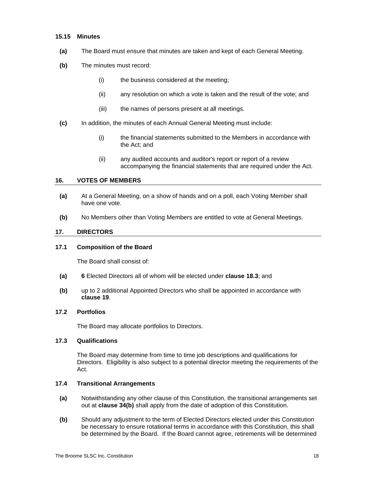#### <span id="page-22-0"></span>**15.15 Minutes**

- **(a)** The Board must ensure that minutes are taken and kept of each General Meeting.
- **(b)** The minutes must record:
	- (i) the business considered at the meeting;
	- (ii) any resolution on which a vote is taken and the result of the vote; and
	- (iii) the names of persons present at all meetings.
- **(c)** In addition, the minutes of each Annual General Meeting must include:
	- (i) the financial statements submitted to the Members in accordance with the Act; and
	- (ii) any audited accounts and auditor's report or report of a review accompanying the financial statements that are required under the Act.

#### <span id="page-22-1"></span>**16. VOTES OF MEMBERS**

- **(a)** At a General Meeting, on a show of hands and on a poll, each Voting Member shall have one vote.
- **(b)** No Members other than Voting Members are entitled to vote at General Meetings.

#### <span id="page-22-2"></span>**17. DIRECTORS**

## <span id="page-22-3"></span>**17.1 Composition of the Board**

The Board shall consist of:

- **(a) 6** Elected Directors all of whom will be elected under **clause [18.3](#page-23-4)**; and
- **(b)** up to 2 additional Appointed Directors who shall be appointed in accordance with **clause [19](#page-24-1)**.

#### <span id="page-22-4"></span>**17.2 Portfolios**

The Board may allocate portfolios to Directors.

## <span id="page-22-5"></span>**17.3 Qualifications**

The Board may determine from time to time job descriptions and qualifications for Directors. Eligibility is also subject to a potential director meeting the requirements of the Act.

## <span id="page-22-6"></span>**17.4 Transitional Arrangements**

- **(a)** Notwithstanding any other clause of this Constitution, the transitional arrangements set out at **clause [34\(b\)](#page-34-4)** shall apply from the date of adoption of this Constitution.
- **(b)** Should any adjustment to the term of Elected Directors elected under this Constitution be necessary to ensure rotational terms in accordance with this Constitution, this shall be determined by the Board. If the Board cannot agree, retirements will be determined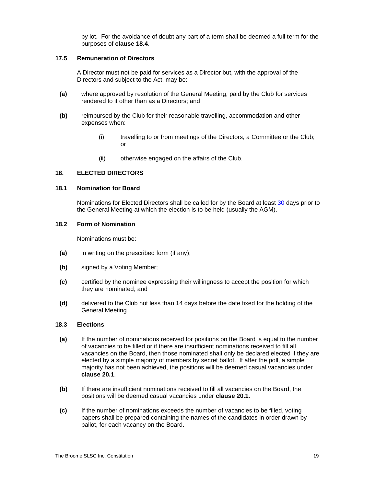by lot. For the avoidance of doubt any part of a term shall be deemed a full term for the purposes of **clause [18.4](#page-24-0)**.

## <span id="page-23-0"></span>**17.5 Remuneration of Directors**

A Director must not be paid for services as a Director but, with the approval of the Directors and subject to the Act, may be:

- **(a)** where approved by resolution of the General Meeting, paid by the Club for services rendered to it other than as a Directors; and
- **(b)** reimbursed by the Club for their reasonable travelling, accommodation and other expenses when:
	- (i) travelling to or from meetings of the Directors, a Committee or the Club; or
	- (ii) otherwise engaged on the affairs of the Club.

## <span id="page-23-1"></span>**18. ELECTED DIRECTORS**

#### <span id="page-23-2"></span>**18.1 Nomination for Board**

Nominations for Elected Directors shall be called for by the Board at least 30 days prior to the General Meeting at which the election is to be held (usually the AGM).

#### <span id="page-23-3"></span>**18.2 Form of Nomination**

Nominations must be:

- **(a)** in writing on the prescribed form (if any);
- **(b)** signed by a Voting Member;
- **(c)** certified by the nominee expressing their willingness to accept the position for which they are nominated; and
- **(d)** delivered to the Club not less than 14 days before the date fixed for the holding of the General Meeting.

## <span id="page-23-4"></span>**18.3 Elections**

- **(a)** If the number of nominations received for positions on the Board is equal to the number of vacancies to be filled or if there are insufficient nominations received to fill all vacancies on the Board, then those nominated shall only be declared elected if they are elected by a simple majority of members by secret ballot. If after the poll, a simple majority has not been achieved, the positions will be deemed casual vacancies under **clause [20.1](#page-25-1)**.
- **(b)** If there are insufficient nominations received to fill all vacancies on the Board, the positions will be deemed casual vacancies under **clause [20.1](#page-25-1)**.
- **(c)** If the number of nominations exceeds the number of vacancies to be filled, voting papers shall be prepared containing the names of the candidates in order drawn by ballot, for each vacancy on the Board.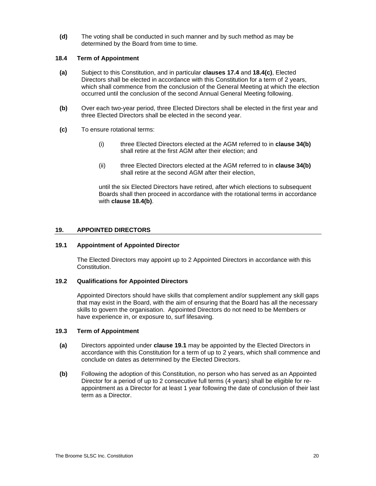**(d)** The voting shall be conducted in such manner and by such method as may be determined by the Board from time to time.

#### <span id="page-24-0"></span>**18.4 Term of Appointment**

- **(a)** Subject to this Constitution, and in particular **clauses [17.4](#page-22-6)** and **[18.4\(c\)](#page-24-5)**, Elected Directors shall be elected in accordance with this Constitution for a term of 2 years, which shall commence from the conclusion of the General Meeting at which the election occurred until the conclusion of the second Annual General Meeting following.
- <span id="page-24-6"></span>**(b)** Over each two-year period, three Elected Directors shall be elected in the first year and three Elected Directors shall be elected in the second year.
- <span id="page-24-5"></span>**(c)** To ensure rotational terms:
	- (i) three Elected Directors elected at the AGM referred to in **clause [34\(b\)](#page-34-4)** shall retire at the first AGM after their election; and
	- (ii) three Elected Directors elected at the AGM referred to in **clause [34\(b\)](#page-34-4)** shall retire at the second AGM after their election,

until the six Elected Directors have retired, after which elections to subsequent Boards shall then proceed in accordance with the rotational terms in accordance with **clause [18.4\(b\)](#page-24-6)**.

#### <span id="page-24-1"></span>**19. APPOINTED DIRECTORS**

#### <span id="page-24-2"></span>**19.1 Appointment of Appointed Director**

The Elected Directors may appoint up to 2 Appointed Directors in accordance with this Constitution.

#### <span id="page-24-3"></span>**19.2 Qualifications for Appointed Directors**

Appointed Directors should have skills that complement and/or supplement any skill gaps that may exist in the Board, with the aim of ensuring that the Board has all the necessary skills to govern the organisation. Appointed Directors do not need to be Members or have experience in, or exposure to, surf lifesaving.

## <span id="page-24-4"></span>**19.3 Term of Appointment**

- **(a)** Directors appointed under **clause [19.1](#page-24-2)** may be appointed by the Elected Directors in accordance with this Constitution for a term of up to 2 years, which shall commence and conclude on dates as determined by the Elected Directors.
- **(b)** Following the adoption of this Constitution, no person who has served as an Appointed Director for a period of up to 2 consecutive full terms (4 years) shall be eligible for reappointment as a Director for at least 1 year following the date of conclusion of their last term as a Director.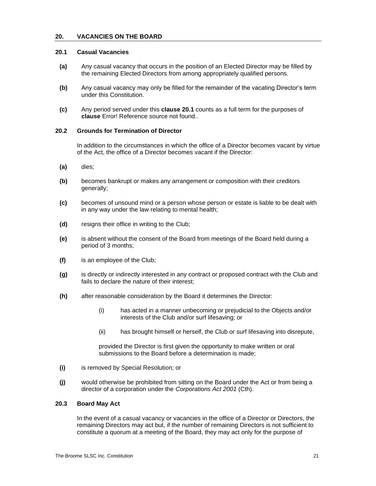#### <span id="page-25-0"></span>**20. VACANCIES ON THE BOARD**

#### <span id="page-25-1"></span>**20.1 Casual Vacancies**

- **(a)** Any casual vacancy that occurs in the position of an Elected Director may be filled by the remaining Elected Directors from among appropriately qualified persons.
- **(b)** Any casual vacancy may only be filled for the remainder of the vacating Director's term under this Constitution.
- **(c)** Any period served under this **clause [20.1](#page-25-1)** counts as a full term for the purposes of **clause** Error! Reference source not found..

#### <span id="page-25-2"></span>**20.2 Grounds for Termination of Director**

In addition to the circumstances in which the office of a Director becomes vacant by virtue of the Act, the office of a Director becomes vacant if the Director:

- **(a)** dies;
- **(b)** becomes bankrupt or makes any arrangement or composition with their creditors generally;
- **(c)** becomes of unsound mind or a person whose person or estate is liable to be dealt with in any way under the law relating to mental health;
- **(d)** resigns their office in writing to the Club;
- **(e)** is absent without the consent of the Board from meetings of the Board held during a period of 3 months;
- **(f)** is an employee of the Club;
- **(g)** is directly or indirectly interested in any contract or proposed contract with the Club and fails to declare the nature of their interest:
- **(h)** after reasonable consideration by the Board it determines the Director:
	- (i) has acted in a manner unbecoming or prejudicial to the Objects and/or interests of the Club and/or surf lifesaving; or
	- (ii) has brought himself or herself, the Club or surf lifesaving into disrepute,

provided the Director is first given the opportunity to make written or oral submissions to the Board before a determination is made;

- **(i)** is removed by Special Resolution; or
- **(j)** would otherwise be prohibited from sitting on the Board under the Act or from being a director of a corporation under the *Corporations Act 2001* (Cth).

## <span id="page-25-3"></span>**20.3 Board May Act**

In the event of a casual vacancy or vacancies in the office of a Director or Directors, the remaining Directors may act but, if the number of remaining Directors is not sufficient to constitute a quorum at a meeting of the Board, they may act only for the purpose of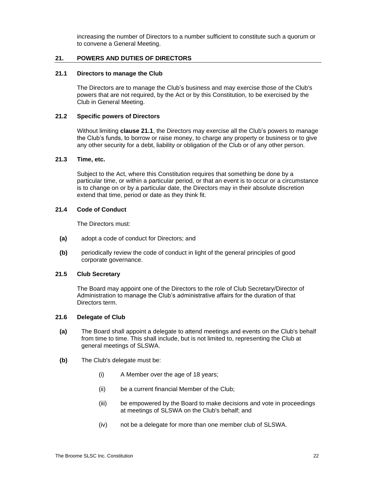increasing the number of Directors to a number sufficient to constitute such a quorum or to convene a General Meeting.

## <span id="page-26-0"></span>**21. POWERS AND DUTIES OF DIRECTORS**

#### <span id="page-26-1"></span>**21.1 Directors to manage the Club**

The Directors are to manage the Club's business and may exercise those of the Club's powers that are not required, by the Act or by this Constitution, to be exercised by the Club in General Meeting.

## <span id="page-26-2"></span>**21.2 Specific powers of Directors**

Without limiting **clause [21.1](#page-26-1)**, the Directors may exercise all the Club's powers to manage the Club's funds, to borrow or raise money, to charge any property or business or to give any other security for a debt, liability or obligation of the Club or of any other person.

## <span id="page-26-3"></span>**21.3 Time, etc.**

Subject to the Act, where this Constitution requires that something be done by a particular time, or within a particular period, or that an event is to occur or a circumstance is to change on or by a particular date, the Directors may in their absolute discretion extend that time, period or date as they think fit.

## <span id="page-26-4"></span>**21.4 Code of Conduct**

The Directors must:

- **(a)** adopt a code of conduct for Directors; and
- **(b)** periodically review the code of conduct in light of the general principles of good corporate governance.

## <span id="page-26-5"></span>**21.5 Club Secretary**

The Board may appoint one of the Directors to the role of Club Secretary/Director of Administration to manage the Club's administrative affairs for the duration of that Directors term.

# <span id="page-26-6"></span>**21.6 Delegate of Club**

- **(a)** The Board shall appoint a delegate to attend meetings and events on the Club's behalf from time to time. This shall include, but is not limited to, representing the Club at general meetings of SLSWA.
- **(b)** The Club's delegate must be:
	- (i) A Member over the age of 18 years;
	- (ii) be a current financial Member of the Club;
	- (iii) be empowered by the Board to make decisions and vote in proceedings at meetings of SLSWA on the Club's behalf; and
	- (iv) not be a delegate for more than one member club of SLSWA.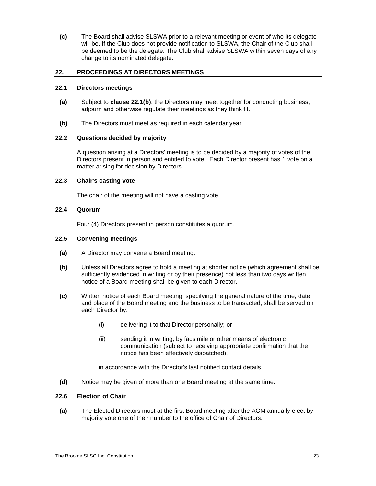**(c)** The Board shall advise SLSWA prior to a relevant meeting or event of who its delegate will be. If the Club does not provide notification to SLSWA, the Chair of the Club shall be deemed to be the delegate. The Club shall advise SLSWA within seven days of any change to its nominated delegate.

## <span id="page-27-0"></span>**22. PROCEEDINGS AT DIRECTORS MEETINGS**

## <span id="page-27-1"></span>**22.1 Directors meetings**

- **(a)** Subject to **clause [22.1\(b\)](#page-27-7)**, the Directors may meet together for conducting business, adjourn and otherwise regulate their meetings as they think fit.
- <span id="page-27-7"></span>**(b)** The Directors must meet as required in each calendar year.

#### <span id="page-27-2"></span>**22.2 Questions decided by majority**

A question arising at a Directors' meeting is to be decided by a majority of votes of the Directors present in person and entitled to vote. Each Director present has 1 vote on a matter arising for decision by Directors.

## <span id="page-27-3"></span>**22.3 Chair's casting vote**

The chair of the meeting will not have a casting vote.

## <span id="page-27-4"></span>**22.4 Quorum**

Four (4) Directors present in person constitutes a quorum.

#### <span id="page-27-5"></span>**22.5 Convening meetings**

- **(a)** A Director may convene a Board meeting.
- **(b)** Unless all Directors agree to hold a meeting at shorter notice (which agreement shall be sufficiently evidenced in writing or by their presence) not less than two days written notice of a Board meeting shall be given to each Director.
- **(c)** Written notice of each Board meeting, specifying the general nature of the time, date and place of the Board meeting and the business to be transacted, shall be served on each Director by:
	- (i) delivering it to that Director personally; or
	- (ii) sending it in writing, by facsimile or other means of electronic communication (subject to receiving appropriate confirmation that the notice has been effectively dispatched),

in accordance with the Director's last notified contact details.

**(d)** Notice may be given of more than one Board meeting at the same time.

## <span id="page-27-6"></span>**22.6 Election of Chair**

<span id="page-27-8"></span>**(a)** The Elected Directors must at the first Board meeting after the AGM annually elect by majority vote one of their number to the office of Chair of Directors.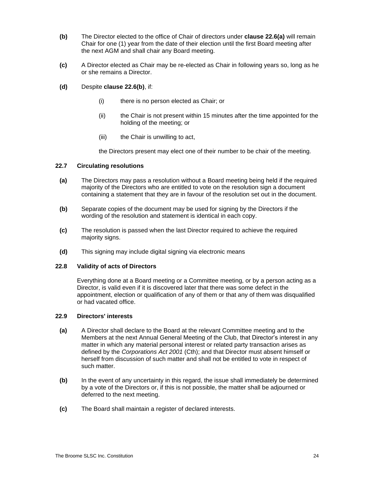- <span id="page-28-3"></span>**(b)** The Director elected to the office of Chair of directors under **clause [22.6\(a\)](#page-27-8)** will remain Chair for one (1) year from the date of their election until the first Board meeting after the next AGM and shall chair any Board meeting.
- **(c)** A Director elected as Chair may be re-elected as Chair in following years so, long as he or she remains a Director.
- **(d)** Despite **clause [22.6\(b\)](#page-28-3)**, if:
	- (i) there is no person elected as Chair; or
	- (ii) the Chair is not present within 15 minutes after the time appointed for the holding of the meeting; or
	- (iii) the Chair is unwilling to act,

the Directors present may elect one of their number to be chair of the meeting.

## <span id="page-28-0"></span>**22.7 Circulating resolutions**

- **(a)** The Directors may pass a resolution without a Board meeting being held if the required majority of the Directors who are entitled to vote on the resolution sign a document containing a statement that they are in favour of the resolution set out in the document.
- **(b)** Separate copies of the document may be used for signing by the Directors if the wording of the resolution and statement is identical in each copy.
- **(c)** The resolution is passed when the last Director required to achieve the required majority signs.
- **(d)** This signing may include digital signing via electronic means

## <span id="page-28-1"></span>**22.8 Validity of acts of Directors**

Everything done at a Board meeting or a Committee meeting, or by a person acting as a Director, is valid even if it is discovered later that there was some defect in the appointment, election or qualification of any of them or that any of them was disqualified or had vacated office.

## <span id="page-28-2"></span>**22.9 Directors' interests**

- **(a)** A Director shall declare to the Board at the relevant Committee meeting and to the Members at the next Annual General Meeting of the Club, that Director's interest in any matter in which any material personal interest or related party transaction arises as defined by the *Corporations Act 2001* (Cth); and that Director must absent himself or herself from discussion of such matter and shall not be entitled to vote in respect of such matter.
- **(b)** In the event of any uncertainty in this regard, the issue shall immediately be determined by a vote of the Directors or, if this is not possible, the matter shall be adjourned or deferred to the next meeting.
- **(c)** The Board shall maintain a register of declared interests.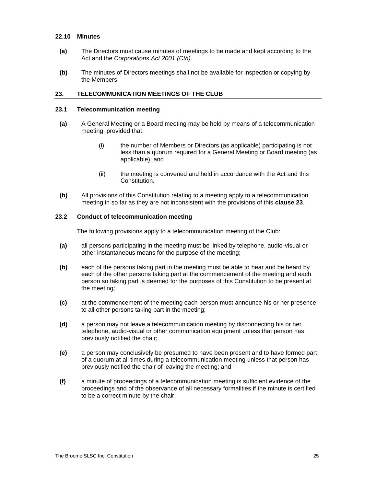#### <span id="page-29-0"></span>**22.10 Minutes**

- **(a)** The Directors must cause minutes of meetings to be made and kept according to the Act and the *Corporations Act 2001 (Cth)*.
- **(b)** The minutes of Directors meetings shall not be available for inspection or copying by the Members.

#### <span id="page-29-1"></span>**23. TELECOMMUNICATION MEETINGS OF THE CLUB**

#### <span id="page-29-2"></span>**23.1 Telecommunication meeting**

- **(a)** A General Meeting or a Board meeting may be held by means of a telecommunication meeting, provided that:
	- (i) the number of Members or Directors (as applicable) participating is not less than a quorum required for a General Meeting or Board meeting (as applicable); and
	- (ii) the meeting is convened and held in accordance with the Act and this Constitution.
- **(b)** All provisions of this Constitution relating to a meeting apply to a telecommunication meeting in so far as they are not inconsistent with the provisions of this **clause [23](#page-29-1)**.

## <span id="page-29-3"></span>**23.2 Conduct of telecommunication meeting**

The following provisions apply to a telecommunication meeting of the Club:

- **(a)** all persons participating in the meeting must be linked by telephone, audio-visual or other instantaneous means for the purpose of the meeting;
- **(b)** each of the persons taking part in the meeting must be able to hear and be heard by each of the other persons taking part at the commencement of the meeting and each person so taking part is deemed for the purposes of this Constitution to be present at the meeting;
- **(c)** at the commencement of the meeting each person must announce his or her presence to all other persons taking part in the meeting;
- **(d)** a person may not leave a telecommunication meeting by disconnecting his or her telephone, audio-visual or other communication equipment unless that person has previously notified the chair;
- **(e)** a person may conclusively be presumed to have been present and to have formed part of a quorum at all times during a telecommunication meeting unless that person has previously notified the chair of leaving the meeting; and
- **(f)** a minute of proceedings of a telecommunication meeting is sufficient evidence of the proceedings and of the observance of all necessary formalities if the minute is certified to be a correct minute by the chair.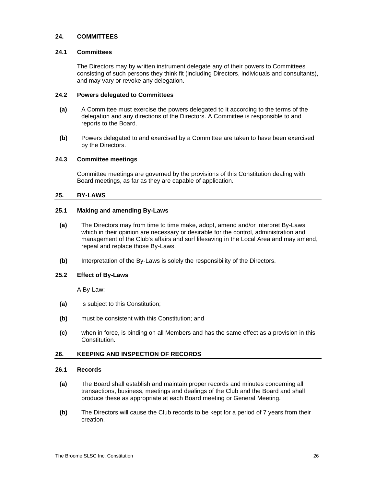#### <span id="page-30-0"></span>**24. COMMITTEES**

## <span id="page-30-1"></span>**24.1 Committees**

The Directors may by written instrument delegate any of their powers to Committees consisting of such persons they think fit (including Directors, individuals and consultants), and may vary or revoke any delegation.

## <span id="page-30-2"></span>**24.2 Powers delegated to Committees**

- **(a)** A Committee must exercise the powers delegated to it according to the terms of the delegation and any directions of the Directors. A Committee is responsible to and reports to the Board.
- **(b)** Powers delegated to and exercised by a Committee are taken to have been exercised by the Directors.

## <span id="page-30-3"></span>**24.3 Committee meetings**

Committee meetings are governed by the provisions of this Constitution dealing with Board meetings, as far as they are capable of application.

#### <span id="page-30-4"></span>**25. BY-LAWS**

# <span id="page-30-5"></span>**25.1 Making and amending By-Laws**

- **(a)** The Directors may from time to time make, adopt, amend and/or interpret By-Laws which in their opinion are necessary or desirable for the control, administration and management of the Club's affairs and surf lifesaving in the Local Area and may amend, repeal and replace those By-Laws.
- **(b)** Interpretation of the By-Laws is solely the responsibility of the Directors.

#### <span id="page-30-6"></span>**25.2 Effect of By-Laws**

A By-Law:

- **(a)** is subject to this Constitution;
- **(b)** must be consistent with this Constitution; and
- **(c)** when in force, is binding on all Members and has the same effect as a provision in this Constitution.

## <span id="page-30-7"></span>**26. KEEPING AND INSPECTION OF RECORDS**

#### <span id="page-30-8"></span>**26.1 Records**

- **(a)** The Board shall establish and maintain proper records and minutes concerning all transactions, business, meetings and dealings of the Club and the Board and shall produce these as appropriate at each Board meeting or General Meeting.
- **(b)** The Directors will cause the Club records to be kept for a period of 7 years from their creation.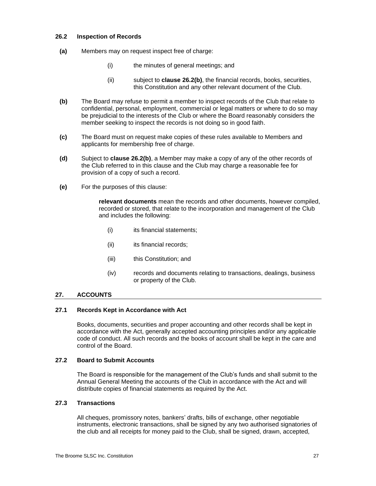#### <span id="page-31-0"></span>**26.2 Inspection of Records**

- **(a)** Members may on request inspect free of charge:
	- (i) the minutes of general meetings; and
	- (ii) subject to **clause [26.2\(b\)](#page-31-5)**, the financial records, books, securities, this Constitution and any other relevant document of the Club.
- <span id="page-31-5"></span>**(b)** The Board may refuse to permit a member to inspect records of the Club that relate to confidential, personal, employment, commercial or legal matters or where to do so may be prejudicial to the interests of the Club or where the Board reasonably considers the member seeking to inspect the records is not doing so in good faith.
- **(c)** The Board must on request make copies of these rules available to Members and applicants for membership free of charge.
- **(d)** Subject to **clause [26.2\(b\)](#page-31-5)**, a Member may make a copy of any of the other records of the Club referred to in this clause and the Club may charge a reasonable fee for provision of a copy of such a record.
- **(e)** For the purposes of this clause:

**relevant documents** mean the records and other documents, however compiled, recorded or stored, that relate to the incorporation and management of the Club and includes the following:

- (i) its financial statements;
- (ii) its financial records;
- (iii) this Constitution; and
- (iv) records and documents relating to transactions, dealings, business or property of the Club.

# <span id="page-31-1"></span>**27. ACCOUNTS**

## <span id="page-31-2"></span>**27.1 Records Kept in Accordance with Act**

Books, documents, securities and proper accounting and other records shall be kept in accordance with the Act, generally accepted accounting principles and/or any applicable code of conduct. All such records and the books of account shall be kept in the care and control of the Board.

## <span id="page-31-3"></span>**27.2 Board to Submit Accounts**

The Board is responsible for the management of the Club's funds and shall submit to the Annual General Meeting the accounts of the Club in accordance with the Act and will distribute copies of financial statements as required by the Act.

# <span id="page-31-4"></span>**27.3 Transactions**

All cheques, promissory notes, bankers' drafts, bills of exchange, other negotiable instruments, electronic transactions, shall be signed by any two authorised signatories of the club and all receipts for money paid to the Club, shall be signed, drawn, accepted,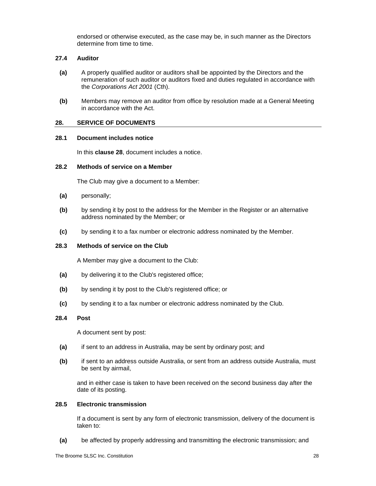endorsed or otherwise executed, as the case may be, in such manner as the Directors determine from time to time.

#### <span id="page-32-0"></span>**27.4 Auditor**

- **(a)** A properly qualified auditor or auditors shall be appointed by the Directors and the remuneration of such auditor or auditors fixed and duties regulated in accordance with the *Corporations Act 2001* (Cth).
- **(b)** Members may remove an auditor from office by resolution made at a General Meeting in accordance with the Act.

## <span id="page-32-1"></span>**28. SERVICE OF DOCUMENTS**

#### <span id="page-32-2"></span>**28.1 Document includes notice**

In this **clause [28](#page-32-1)**, document includes a notice.

## <span id="page-32-3"></span>**28.2 Methods of service on a Member**

The Club may give a document to a Member:

- **(a)** personally;
- **(b)** by sending it by post to the address for the Member in the Register or an alternative address nominated by the Member; or
- **(c)** by sending it to a fax number or electronic address nominated by the Member.

## <span id="page-32-4"></span>**28.3 Methods of service on the Club**

A Member may give a document to the Club:

- **(a)** by delivering it to the Club's registered office;
- **(b)** by sending it by post to the Club's registered office; or
- **(c)** by sending it to a fax number or electronic address nominated by the Club.

## <span id="page-32-5"></span>**28.4 Post**

A document sent by post:

- **(a)** if sent to an address in Australia, may be sent by ordinary post; and
- **(b)** if sent to an address outside Australia, or sent from an address outside Australia, must be sent by airmail,

and in either case is taken to have been received on the second business day after the date of its posting.

## <span id="page-32-6"></span>**28.5 Electronic transmission**

If a document is sent by any form of electronic transmission, delivery of the document is taken to:

**(a)** be affected by properly addressing and transmitting the electronic transmission; and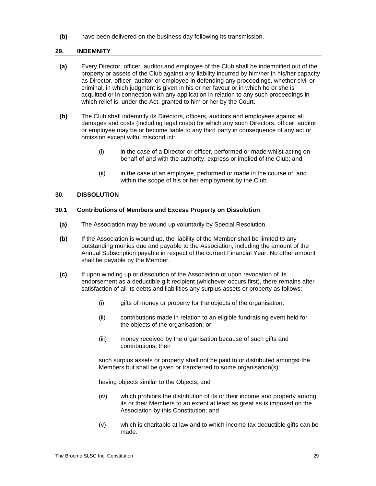**(b)** have been delivered on the business day following its transmission.

## <span id="page-33-0"></span>**29. INDEMNITY**

- **(a)** Every Director, officer, auditor and employee of the Club shall be indemnified out of the property or assets of the Club against any liability incurred by him/her in his/her capacity as Director, officer, auditor or employee in defending any proceedings, whether civil or criminal, in which judgment is given in his or her favour or in which he or she is acquitted or in connection with any application in relation to any such proceedings in which relief is, under the Act, granted to him or her by the Court.
- **(b)** The Club shall indemnify its Directors, officers, auditors and employees against all damages and costs (including legal costs) for which any such Directors, officer, auditor or employee may be or become liable to any third party in consequence of any act or omission except wilful misconduct:
	- (i) in the case of a Director or officer, performed or made whilst acting on behalf of and with the authority, express or implied of the Club; and
	- (ii) in the case of an employee, performed or made in the course of, and within the scope of his or her employment by the Club.

## <span id="page-33-1"></span>**30. DISSOLUTION**

## <span id="page-33-2"></span>**30.1 Contributions of Members and Excess Property on Dissolution**

- **(a)** The Association may be wound up voluntarily by Special Resolution.
- **(b)** If the Association is wound up, the liability of the Member shall be limited to any outstanding monies due and payable to the Association, including the amount of the Annual Subscription payable in respect of the current Financial Year. No other amount shall be payable by the Member.
- **(c)** If upon winding up or dissolution of the Association or upon revocation of its endorsement as a deductible gift recipient (whichever occurs first), there remains after satisfaction of all its debts and liabilities any surplus assets or property as follows:
	- (i) gifts of money or property for the objects of the organisation;
	- (ii) contributions made in relation to an eligible fundraising event held for the objects of the organisation; or
	- (iii) money received by the organisation because of such gifts and contributions; then

such surplus assets or property shall not be paid to or distributed amongst the Members but shall be given or transferred to some organisation(s):

having objects similar to the Objects; and

- (iv) which prohibits the distribution of its or their income and property among its or their Members to an extent at least as great as is imposed on the Association by this Constitution; and
- (v) which is charitable at law and to which income tax deductible gifts can be made.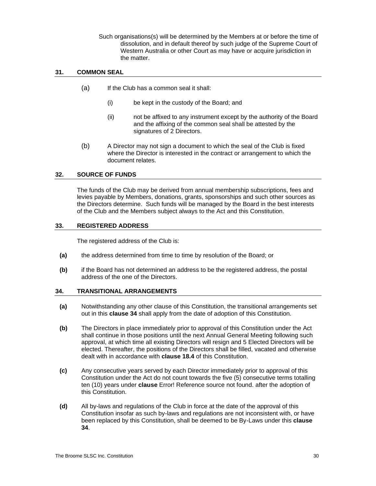Such organisations(s) will be determined by the Members at or before the time of dissolution, and in default thereof by such judge of the Supreme Court of Western Australia or other Court as may have or acquire jurisdiction in the matter.

# <span id="page-34-0"></span>**31. COMMON SEAL**

- (a) If the Club has a common seal it shall:
	- (i) be kept in the custody of the Board; and
	- (ii) not be affixed to any instrument except by the authority of the Board and the affixing of the common seal shall be attested by the signatures of 2 Directors.
- (b) A Director may not sign a document to which the seal of the Club is fixed where the Director is interested in the contract or arrangement to which the document relates.

## <span id="page-34-1"></span>**32. SOURCE OF FUNDS**

The funds of the Club may be derived from annual membership subscriptions, fees and levies payable by Members, donations, grants, sponsorships and such other sources as the Directors determine. Such funds will be managed by the Board in the best interests of the Club and the Members subject always to the Act and this Constitution.

## <span id="page-34-2"></span>**33. REGISTERED ADDRESS**

The registered address of the Club is:

- **(a)** the address determined from time to time by resolution of the Board; or
- **(b)** if the Board has not determined an address to be the registered address, the postal address of the one of the Directors.

## <span id="page-34-3"></span>**34. TRANSITIONAL ARRANGEMENTS**

- **(a)** Notwithstanding any other clause of this Constitution, the transitional arrangements set out in this **clause [34](#page-34-3)** shall apply from the date of adoption of this Constitution.
- <span id="page-34-4"></span>**(b)** The Directors in place immediately prior to approval of this Constitution under the Act shall continue in those positions until the next Annual General Meeting following such approval, at which time all existing Directors will resign and 5 Elected Directors will be elected. Thereafter, the positions of the Directors shall be filled, vacated and otherwise dealt with in accordance with **clause [18.4](#page-24-0)** of this Constitution.
- **(c)** Any consecutive years served by each Director immediately prior to approval of this Constitution under the Act do not count towards the five (5) consecutive terms totalling ten (10) years under **clause** Error! Reference source not found. after the adoption of this Constitution.
- **(d)** All by-laws and regulations of the Club in force at the date of the approval of this Constitution insofar as such by-laws and regulations are not inconsistent with, or have been replaced by this Constitution, shall be deemed to be By-Laws under this **clause [34](#page-34-3)**.